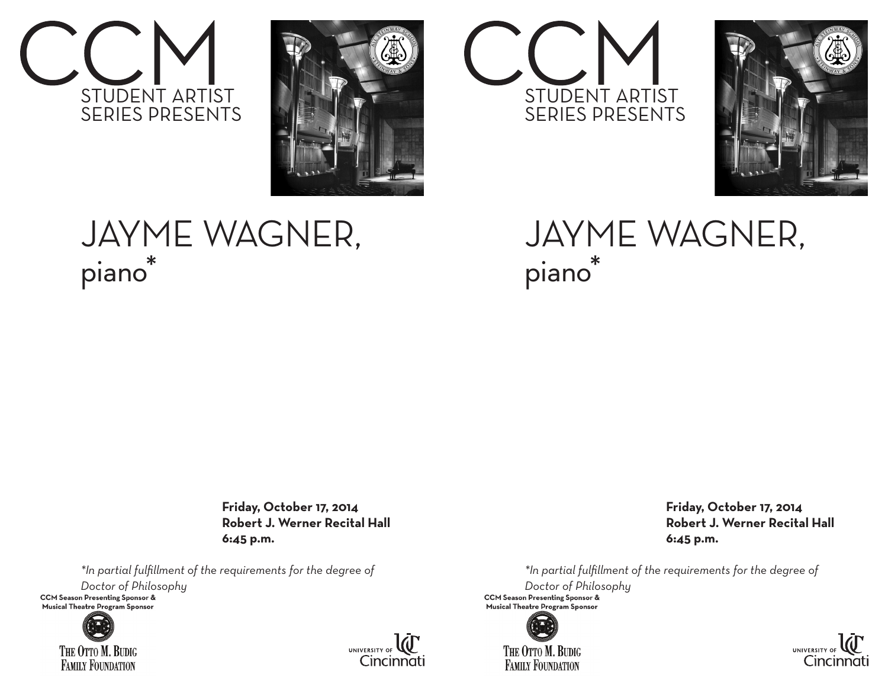



## JAYME WAGNER, piano<sup>\*</sup>

 **Friday, October 17, 2014 Robert J. Werner Recital Hall 6:45 p.m.**

*\*In partial fulfillment of the requirements for the degree of Doctor of Philosophy* **Musical Theatre Program Sponsor**